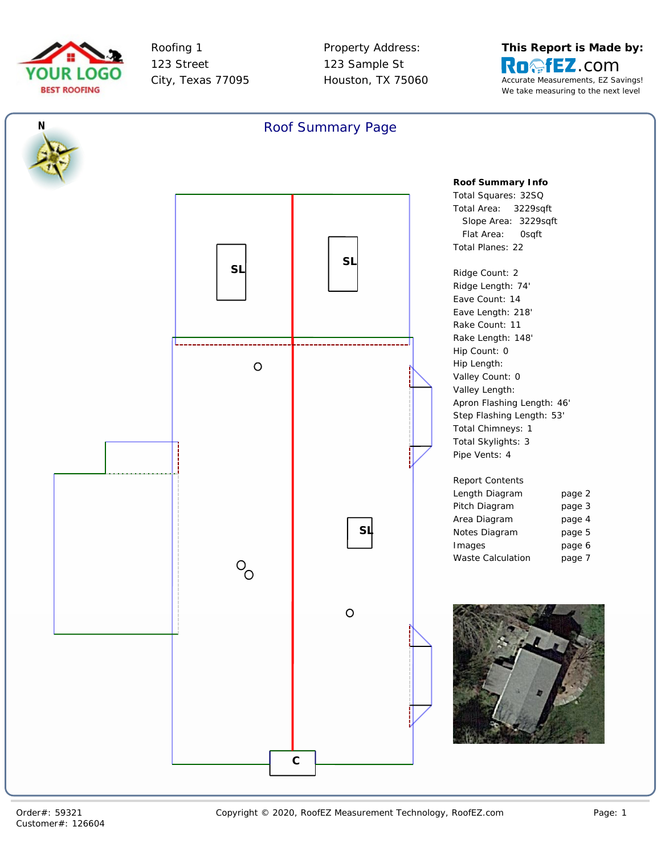



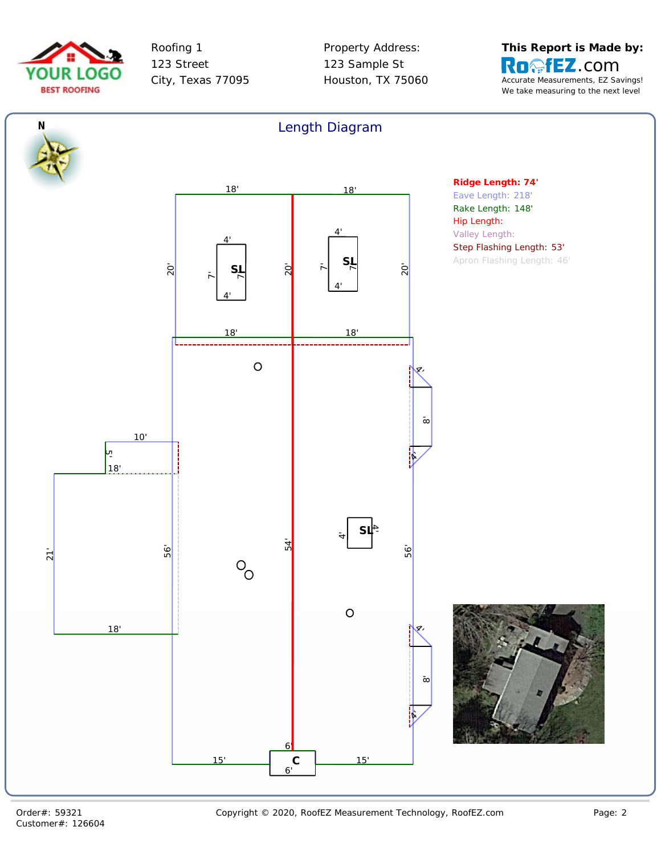



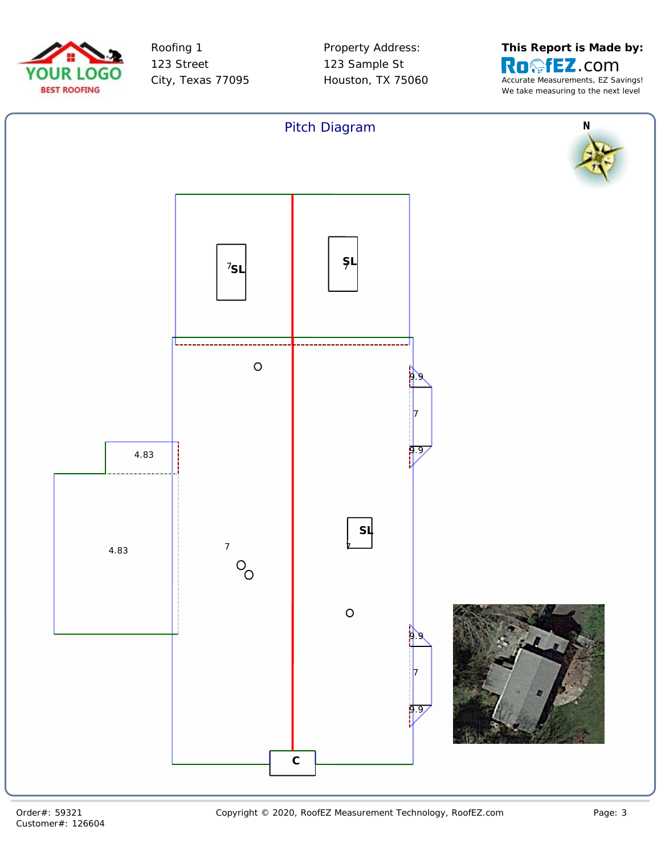



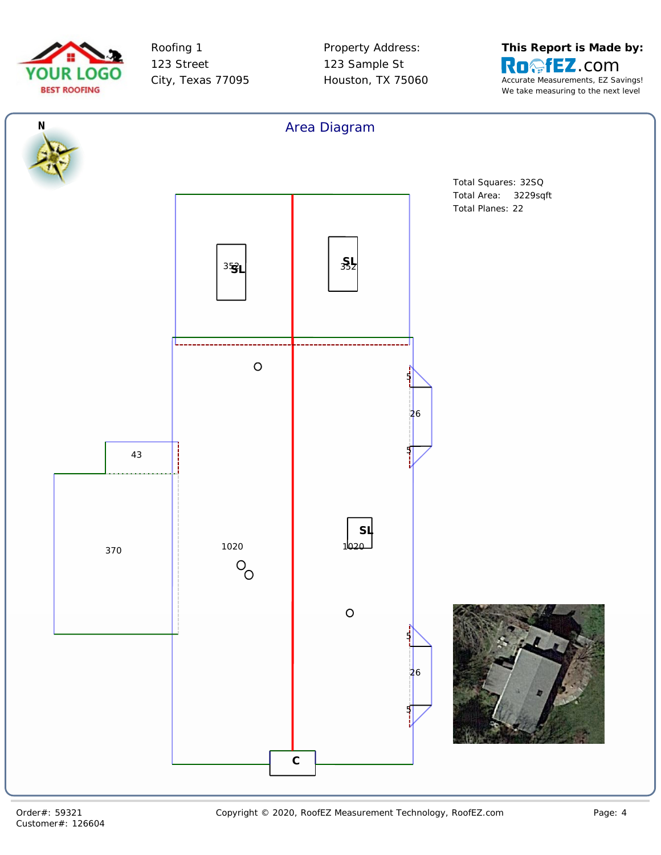



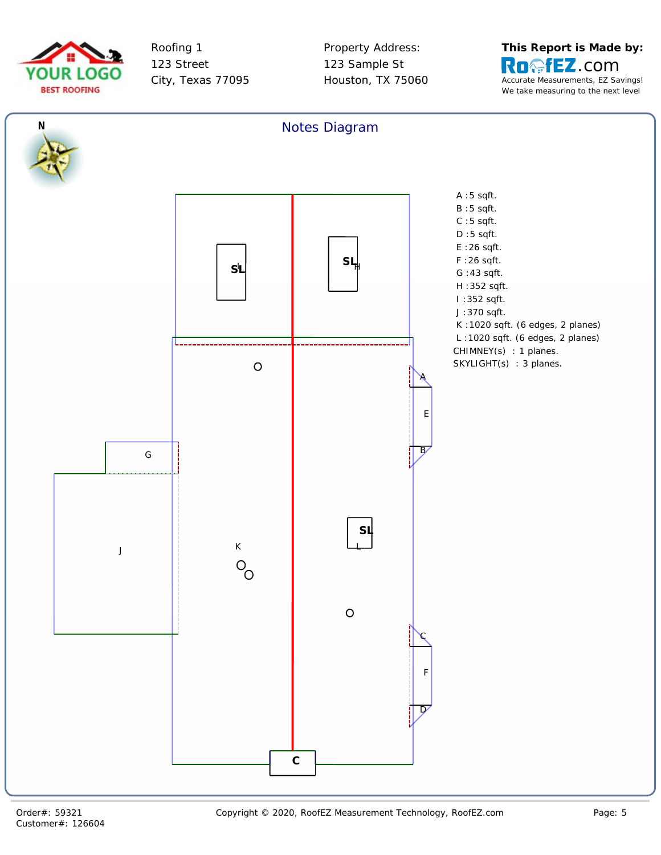



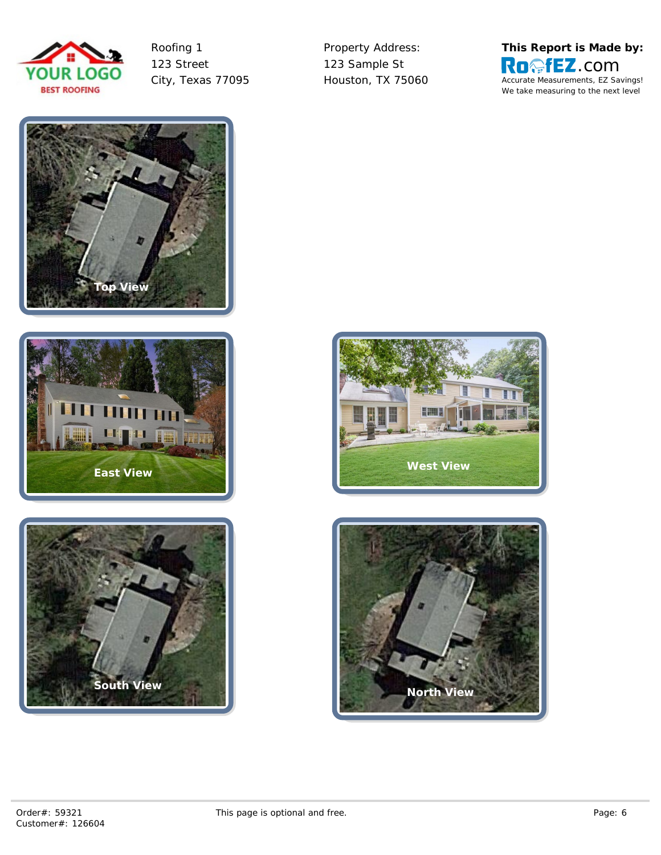